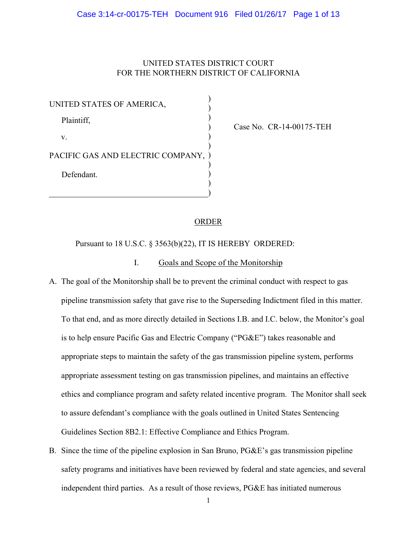# UNITED STATES DISTRICT COURT FOR THE NORTHERN DISTRICT OF CALIFORNIA

| UNITED STATES OF AMERICA,         |  |
|-----------------------------------|--|
| Plaintiff,                        |  |
| V.                                |  |
| PACIFIC GAS AND ELECTRIC COMPANY, |  |
| Defendant.                        |  |
|                                   |  |

Case No. CR-14-00175-TEH

# ORDER

Pursuant to 18 U.S.C. § 3563(b)(22), IT IS HEREBY ORDERED:

# I. Goals and Scope of the Monitorship

- A. The goal of the Monitorship shall be to prevent the criminal conduct with respect to gas pipeline transmission safety that gave rise to the Superseding Indictment filed in this matter. To that end, and as more directly detailed in Sections I.B. and I.C. below, the Monitor's goal is to help ensure Pacific Gas and Electric Company ("PG&E") takes reasonable and appropriate steps to maintain the safety of the gas transmission pipeline system, performs appropriate assessment testing on gas transmission pipelines, and maintains an effective ethics and compliance program and safety related incentive program. The Monitor shall seek to assure defendant's compliance with the goals outlined in United States Sentencing Guidelines Section 8B2.1: Effective Compliance and Ethics Program.
- B. Since the time of the pipeline explosion in San Bruno, PG&E's gas transmission pipeline safety programs and initiatives have been reviewed by federal and state agencies, and several independent third parties. As a result of those reviews, PG&E has initiated numerous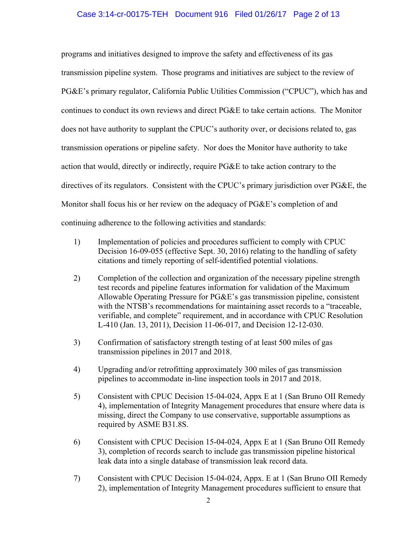# Case 3:14-cr-00175-TEH Document 916 Filed 01/26/17 Page 2 of 13

programs and initiatives designed to improve the safety and effectiveness of its gas transmission pipeline system. Those programs and initiatives are subject to the review of PG&E's primary regulator, California Public Utilities Commission ("CPUC"), which has and continues to conduct its own reviews and direct PG&E to take certain actions. The Monitor does not have authority to supplant the CPUC's authority over, or decisions related to, gas transmission operations or pipeline safety. Nor does the Monitor have authority to take action that would, directly or indirectly, require PG&E to take action contrary to the directives of its regulators. Consistent with the CPUC's primary jurisdiction over PG&E, the Monitor shall focus his or her review on the adequacy of PG&E's completion of and continuing adherence to the following activities and standards:

- 1) Implementation of policies and procedures sufficient to comply with CPUC Decision 16-09-055 (effective Sept. 30, 2016) relating to the handling of safety citations and timely reporting of self-identified potential violations.
- 2) Completion of the collection and organization of the necessary pipeline strength test records and pipeline features information for validation of the Maximum Allowable Operating Pressure for PG&E's gas transmission pipeline, consistent with the NTSB's recommendations for maintaining asset records to a "traceable, verifiable, and complete" requirement, and in accordance with CPUC Resolution L-410 (Jan. 13, 2011), Decision 11-06-017, and Decision 12-12-030.
- 3) Confirmation of satisfactory strength testing of at least 500 miles of gas transmission pipelines in 2017 and 2018.
- 4) Upgrading and/or retrofitting approximately 300 miles of gas transmission pipelines to accommodate in-line inspection tools in 2017 and 2018.
- 5) Consistent with CPUC Decision 15-04-024, Appx E at 1 (San Bruno OII Remedy 4), implementation of Integrity Management procedures that ensure where data is missing, direct the Company to use conservative, supportable assumptions as required by ASME B31.8S.
- 6) Consistent with CPUC Decision 15-04-024, Appx E at 1 (San Bruno OII Remedy 3), completion of records search to include gas transmission pipeline historical leak data into a single database of transmission leak record data.
- 7) Consistent with CPUC Decision 15-04-024, Appx. E at 1 (San Bruno OII Remedy 2), implementation of Integrity Management procedures sufficient to ensure that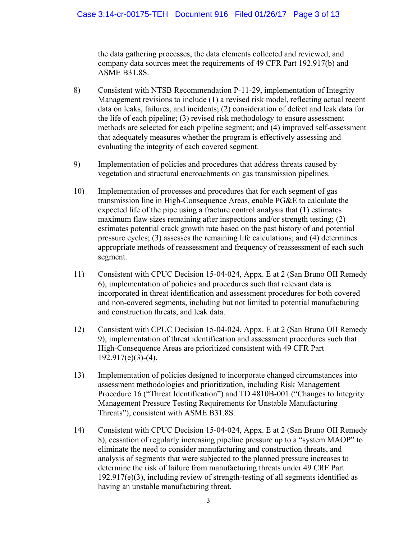the data gathering processes, the data elements collected and reviewed, and company data sources meet the requirements of 49 CFR Part 192.917(b) and ASME B31.8S.

- 8) Consistent with NTSB Recommendation P-11-29, implementation of Integrity Management revisions to include (1) a revised risk model, reflecting actual recent data on leaks, failures, and incidents; (2) consideration of defect and leak data for the life of each pipeline; (3) revised risk methodology to ensure assessment methods are selected for each pipeline segment; and (4) improved self-assessment that adequately measures whether the program is effectively assessing and evaluating the integrity of each covered segment.
- 9) Implementation of policies and procedures that address threats caused by vegetation and structural encroachments on gas transmission pipelines.
- 10) Implementation of processes and procedures that for each segment of gas transmission line in High-Consequence Areas, enable PG&E to calculate the expected life of the pipe using a fracture control analysis that (1) estimates maximum flaw sizes remaining after inspections and/or strength testing; (2) estimates potential crack growth rate based on the past history of and potential pressure cycles; (3) assesses the remaining life calculations; and (4) determines appropriate methods of reassessment and frequency of reassessment of each such segment.
- 11) Consistent with CPUC Decision 15-04-024, Appx. E at 2 (San Bruno OII Remedy 6), implementation of policies and procedures such that relevant data is incorporated in threat identification and assessment procedures for both covered and non-covered segments, including but not limited to potential manufacturing and construction threats, and leak data.
- 12) Consistent with CPUC Decision 15-04-024, Appx. E at 2 (San Bruno OII Remedy 9), implementation of threat identification and assessment procedures such that High-Consequence Areas are prioritized consistent with 49 CFR Part 192.917(e)(3)-(4).
- 13) Implementation of policies designed to incorporate changed circumstances into assessment methodologies and prioritization, including Risk Management Procedure 16 ("Threat Identification") and TD 4810B-001 ("Changes to Integrity Management Pressure Testing Requirements for Unstable Manufacturing Threats"), consistent with ASME B31.8S.
- 14) Consistent with CPUC Decision 15-04-024, Appx. E at 2 (San Bruno OII Remedy 8), cessation of regularly increasing pipeline pressure up to a "system MAOP" to eliminate the need to consider manufacturing and construction threats, and analysis of segments that were subjected to the planned pressure increases to determine the risk of failure from manufacturing threats under 49 CRF Part 192.917(e)(3), including review of strength-testing of all segments identified as having an unstable manufacturing threat.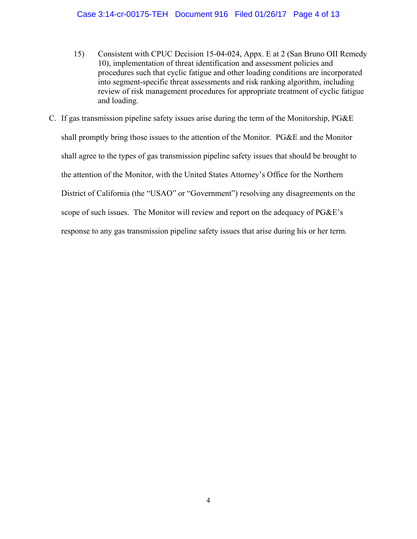- 15) Consistent with CPUC Decision 15-04-024, Appx. E at 2 (San Bruno OII Remedy 10), implementation of threat identification and assessment policies and procedures such that cyclic fatigue and other loading conditions are incorporated into segment-specific threat assessments and risk ranking algorithm, including review of risk management procedures for appropriate treatment of cyclic fatigue and loading.
- C. If gas transmission pipeline safety issues arise during the term of the Monitorship, PG&E shall promptly bring those issues to the attention of the Monitor. PG&E and the Monitor shall agree to the types of gas transmission pipeline safety issues that should be brought to the attention of the Monitor, with the United States Attorney's Office for the Northern District of California (the "USAO" or "Government") resolving any disagreements on the scope of such issues. The Monitor will review and report on the adequacy of PG&E's response to any gas transmission pipeline safety issues that arise during his or her term.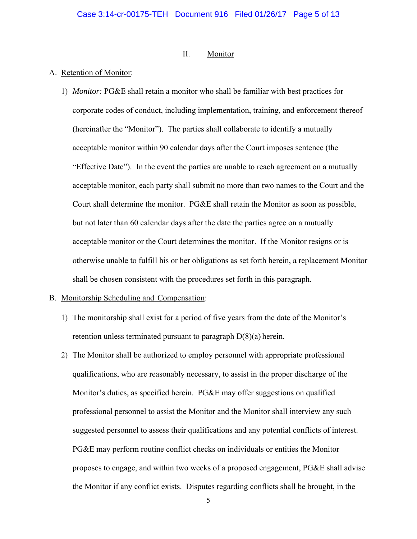## II. Monitor

## A. Retention of Monitor:

1) *Monitor:* PG&E shall retain a monitor who shall be familiar with best practices for corporate codes of conduct, including implementation, training, and enforcement thereof (hereinafter the "Monitor"). The parties shall collaborate to identify a mutually acceptable monitor within 90 calendar days after the Court imposes sentence (the "Effective Date"). In the event the parties are unable to reach agreement on a mutually acceptable monitor, each party shall submit no more than two names to the Court and the Court shall determine the monitor. PG&E shall retain the Monitor as soon as possible, but not later than 60 calendar days after the date the parties agree on a mutually acceptable monitor or the Court determines the monitor. If the Monitor resigns or is otherwise unable to fulfill his or her obligations as set forth herein, a replacement Monitor shall be chosen consistent with the procedures set forth in this paragraph.

#### B. Monitorship Scheduling and Compensation:

- 1) The monitorship shall exist for a period of five years from the date of the Monitor's retention unless terminated pursuant to paragraph  $D(8)(a)$  herein.
- 2) The Monitor shall be authorized to employ personnel with appropriate professional qualifications, who are reasonably necessary, to assist in the proper discharge of the Monitor's duties, as specified herein. PG&E may offer suggestions on qualified professional personnel to assist the Monitor and the Monitor shall interview any such suggested personnel to assess their qualifications and any potential conflicts of interest. PG&E may perform routine conflict checks on individuals or entities the Monitor proposes to engage, and within two weeks of a proposed engagement, PG&E shall advise the Monitor if any conflict exists. Disputes regarding conflicts shall be brought, in the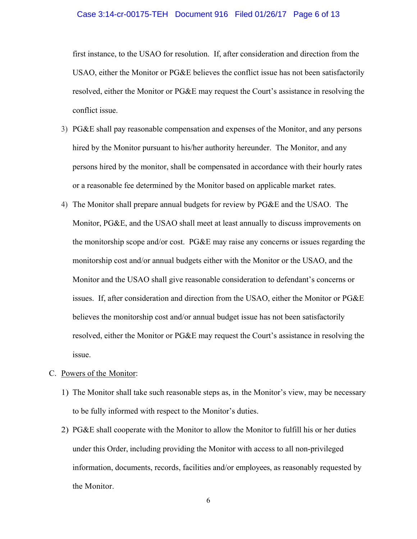#### Case 3:14-cr-00175-TEH Document 916 Filed 01/26/17 Page 6 of 13

first instance, to the USAO for resolution. If, after consideration and direction from the USAO, either the Monitor or PG&E believes the conflict issue has not been satisfactorily resolved, either the Monitor or PG&E may request the Court's assistance in resolving the conflict issue.

- 3) PG&E shall pay reasonable compensation and expenses of the Monitor, and any persons hired by the Monitor pursuant to his/her authority hereunder. The Monitor, and any persons hired by the monitor, shall be compensated in accordance with their hourly rates or a reasonable fee determined by the Monitor based on applicable market rates.
- 4) The Monitor shall prepare annual budgets for review by PG&E and the USAO. The Monitor, PG&E, and the USAO shall meet at least annually to discuss improvements on the monitorship scope and/or cost. PG&E may raise any concerns or issues regarding the monitorship cost and/or annual budgets either with the Monitor or the USAO, and the Monitor and the USAO shall give reasonable consideration to defendant's concerns or issues. If, after consideration and direction from the USAO, either the Monitor or PG&E believes the monitorship cost and/or annual budget issue has not been satisfactorily resolved, either the Monitor or PG&E may request the Court's assistance in resolving the issue.

#### C. Powers of the Monitor:

- 1) The Monitor shall take such reasonable steps as, in the Monitor's view, may be necessary to be fully informed with respect to the Monitor's duties.
- 2) PG&E shall cooperate with the Monitor to allow the Monitor to fulfill his or her duties under this Order, including providing the Monitor with access to all non-privileged information, documents, records, facilities and/or employees, as reasonably requested by the Monitor.

6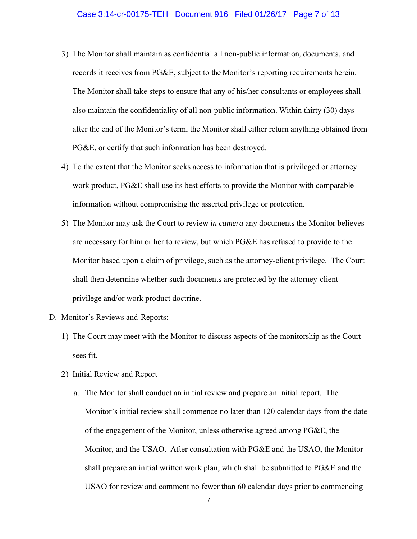- 3) The Monitor shall maintain as confidential all non-public information, documents, and records it receives from PG&E, subject to the Monitor's reporting requirements herein. The Monitor shall take steps to ensure that any of his/her consultants or employees shall also maintain the confidentiality of all non-public information. Within thirty (30) days after the end of the Monitor's term, the Monitor shall either return anything obtained from PG&E, or certify that such information has been destroyed.
- 4) To the extent that the Monitor seeks access to information that is privileged or attorney work product, PG&E shall use its best efforts to provide the Monitor with comparable information without compromising the asserted privilege or protection.
- 5) The Monitor may ask the Court to review *in camera* any documents the Monitor believes are necessary for him or her to review, but which PG&E has refused to provide to the Monitor based upon a claim of privilege, such as the attorney-client privilege. The Court shall then determine whether such documents are protected by the attorney-client privilege and/or work product doctrine.

#### D. Monitor's Reviews and Reports:

- 1) The Court may meet with the Monitor to discuss aspects of the monitorship as the Court sees fit.
- 2) Initial Review and Report
	- a. The Monitor shall conduct an initial review and prepare an initial report. The Monitor's initial review shall commence no later than 120 calendar days from the date of the engagement of the Monitor, unless otherwise agreed among PG&E, the Monitor, and the USAO. After consultation with PG&E and the USAO, the Monitor shall prepare an initial written work plan, which shall be submitted to PG&E and the USAO for review and comment no fewer than 60 calendar days prior to commencing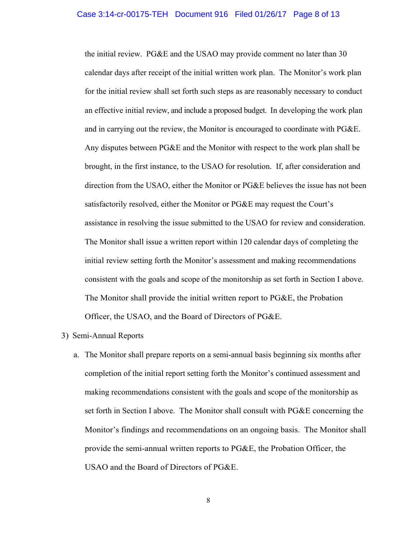the initial review. PG&E and the USAO may provide comment no later than 30 calendar days after receipt of the initial written work plan. The Monitor's work plan for the initial review shall set forth such steps as are reasonably necessary to conduct an effective initial review, and include a proposed budget. In developing the work plan and in carrying out the review, the Monitor is encouraged to coordinate with PG&E. Any disputes between PG&E and the Monitor with respect to the work plan shall be brought, in the first instance, to the USAO for resolution. If, after consideration and direction from the USAO, either the Monitor or PG&E believes the issue has not been satisfactorily resolved, either the Monitor or PG&E may request the Court's assistance in resolving the issue submitted to the USAO for review and consideration. The Monitor shall issue a written report within 120 calendar days of completing the initial review setting forth the Monitor's assessment and making recommendations consistent with the goals and scope of the monitorship as set forth in Section I above. The Monitor shall provide the initial written report to PG&E, the Probation Officer, the USAO, and the Board of Directors of PG&E.

## 3) Semi-Annual Reports

a. The Monitor shall prepare reports on a semi-annual basis beginning six months after completion of the initial report setting forth the Monitor's continued assessment and making recommendations consistent with the goals and scope of the monitorship as set forth in Section I above. The Monitor shall consult with PG&E concerning the Monitor's findings and recommendations on an ongoing basis. The Monitor shall provide the semi-annual written reports to PG&E, the Probation Officer, the USAO and the Board of Directors of PG&E.

8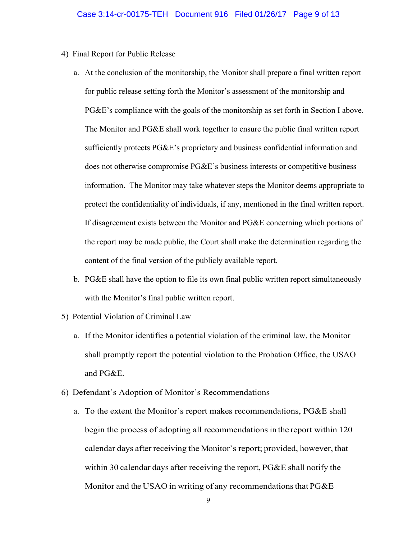- 4) Final Report for Public Release
	- a. At the conclusion of the monitorship, the Monitor shall prepare a final written report for public release setting forth the Monitor's assessment of the monitorship and PG&E's compliance with the goals of the monitorship as set forth in Section I above. The Monitor and PG&E shall work together to ensure the public final written report sufficiently protects PG&E's proprietary and business confidential information and does not otherwise compromise PG&E's business interests or competitive business information. The Monitor may take whatever steps the Monitor deems appropriate to protect the confidentiality of individuals, if any, mentioned in the final written report. If disagreement exists between the Monitor and PG&E concerning which portions of the report may be made public, the Court shall make the determination regarding the content of the final version of the publicly available report.
	- b. PG&E shall have the option to file its own final public written report simultaneously with the Monitor's final public written report.
- 5) Potential Violation of Criminal Law
	- a. If the Monitor identifies a potential violation of the criminal law, the Monitor shall promptly report the potential violation to the Probation Office, the USAO and PG&E.
- 6) Defendant's Adoption of Monitor's Recommendations
	- a. To the extent the Monitor's report makes recommendations, PG&E shall begin the process of adopting all recommendations in the report within 120 calendar days after receiving the Monitor's report; provided, however, that within 30 calendar days after receiving the report, PG&E shall notify the Monitor and the USAO in writing of any recommendations that PG&E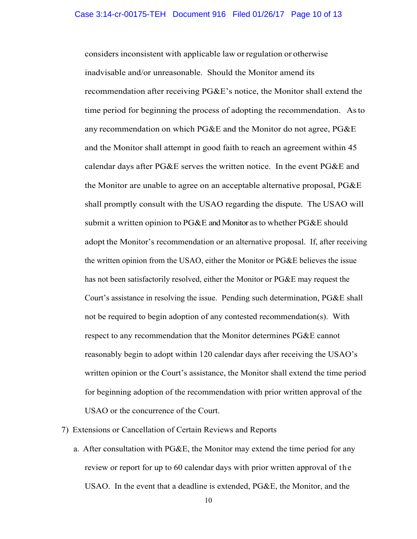considers inconsistent with applicable law or regulation or otherwise inadvisable and/or unreasonable. Should the Monitor amend its recommendation after receiving PG&E's notice, the Monitor shall extend the time period for beginning the process of adopting the recommendation. As to any recommendation on which PG&E and the Monitor do not agree, PG&E and the Monitor shall attempt in good faith to reach an agreement within 45 calendar days after PG&E serves the written notice. In the event PG&E and the Monitor are unable to agree on an acceptable alternative proposal, PG&E shall promptly consult with the USAO regarding the dispute. The USAO will submit a written opinion to PG&E and Monitor as to whether PG&E should adopt the Monitor's recommendation or an alternative proposal. If, after receiving the written opinion from the USAO, either the Monitor or PG&E believes the issue has not been satisfactorily resolved, either the Monitor or PG&E may request the Court's assistance in resolving the issue. Pending such determination, PG&E shall not be required to begin adoption of any contested recommendation(s). With respect to any recommendation that the Monitor determines PG&E cannot reasonably begin to adopt within 120 calendar days after receiving the USAO's written opinion or the Court's assistance, the Monitor shall extend the time period for beginning adoption of the recommendation with prior written approval of the USAO or the concurrence of the Court.

7) Extensions or Cancellation of Certain Reviews and Reports

a. After consultation with PG&E, the Monitor may extend the time period for any review or report for up to 60 calendar days with prior written approval of the USAO. In the event that a deadline is extended, PG&E, the Monitor, and the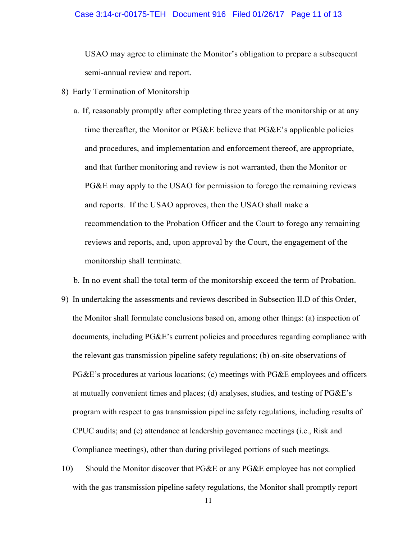#### Case 3:14-cr-00175-TEH Document 916 Filed 01/26/17 Page 11 of 13

USAO may agree to eliminate the Monitor's obligation to prepare a subsequent semi-annual review and report.

- 8) Early Termination of Monitorship
	- a. If, reasonably promptly after completing three years of the monitorship or at any time thereafter, the Monitor or PG&E believe that PG&E's applicable policies and procedures, and implementation and enforcement thereof, are appropriate, and that further monitoring and review is not warranted, then the Monitor or PG&E may apply to the USAO for permission to forego the remaining reviews and reports. If the USAO approves, then the USAO shall make a recommendation to the Probation Officer and the Court to forego any remaining reviews and reports, and, upon approval by the Court, the engagement of the monitorship shall terminate.

b. In no event shall the total term of the monitorship exceed the term of Probation.

- 9) In undertaking the assessments and reviews described in Subsection II.D of this Order, the Monitor shall formulate conclusions based on, among other things: (a) inspection of documents, including PG&E's current policies and procedures regarding compliance with the relevant gas transmission pipeline safety regulations; (b) on-site observations of PG&E's procedures at various locations; (c) meetings with PG&E employees and officers at mutually convenient times and places; (d) analyses, studies, and testing of PG&E's program with respect to gas transmission pipeline safety regulations, including results of CPUC audits; and (e) attendance at leadership governance meetings (i.e., Risk and Compliance meetings), other than during privileged portions of such meetings.
- 10) Should the Monitor discover that PG&E or any PG&E employee has not complied with the gas transmission pipeline safety regulations, the Monitor shall promptly report

11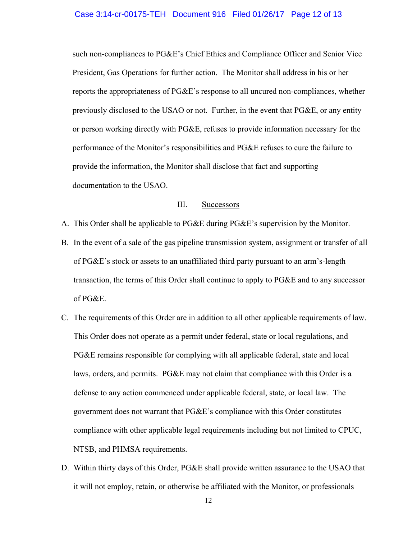#### Case 3:14-cr-00175-TEH Document 916 Filed 01/26/17 Page 12 of 13

such non-compliances to PG&E's Chief Ethics and Compliance Officer and Senior Vice President, Gas Operations for further action. The Monitor shall address in his or her reports the appropriateness of PG&E's response to all uncured non-compliances, whether previously disclosed to the USAO or not. Further, in the event that PG&E, or any entity or person working directly with PG&E, refuses to provide information necessary for the performance of the Monitor's responsibilities and PG&E refuses to cure the failure to provide the information, the Monitor shall disclose that fact and supporting documentation to the USAO.

#### III. Successors

- A. This Order shall be applicable to PG&E during PG&E's supervision by the Monitor.
- B. In the event of a sale of the gas pipeline transmission system, assignment or transfer of all of PG&E's stock or assets to an unaffiliated third party pursuant to an arm's-length transaction, the terms of this Order shall continue to apply to PG&E and to any successor of PG&E.
- C. The requirements of this Order are in addition to all other applicable requirements of law. This Order does not operate as a permit under federal, state or local regulations, and PG&E remains responsible for complying with all applicable federal, state and local laws, orders, and permits. PG&E may not claim that compliance with this Order is a defense to any action commenced under applicable federal, state, or local law. The government does not warrant that PG&E's compliance with this Order constitutes compliance with other applicable legal requirements including but not limited to CPUC, NTSB, and PHMSA requirements.
- D. Within thirty days of this Order, PG&E shall provide written assurance to the USAO that it will not employ, retain, or otherwise be affiliated with the Monitor, or professionals